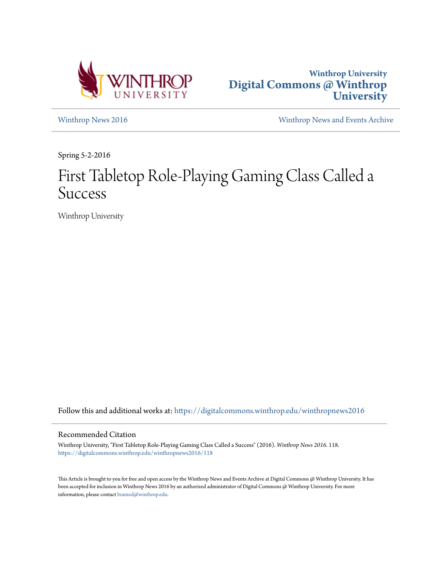



[Winthrop News 2016](https://digitalcommons.winthrop.edu/winthropnews2016?utm_source=digitalcommons.winthrop.edu%2Fwinthropnews2016%2F118&utm_medium=PDF&utm_campaign=PDFCoverPages) [Winthrop News and Events Archive](https://digitalcommons.winthrop.edu/winthropnewsarchives?utm_source=digitalcommons.winthrop.edu%2Fwinthropnews2016%2F118&utm_medium=PDF&utm_campaign=PDFCoverPages)

Spring 5-2-2016

## First Tabletop Role-Playing Gaming Class Called a Success

Winthrop University

Follow this and additional works at: [https://digitalcommons.winthrop.edu/winthropnews2016](https://digitalcommons.winthrop.edu/winthropnews2016?utm_source=digitalcommons.winthrop.edu%2Fwinthropnews2016%2F118&utm_medium=PDF&utm_campaign=PDFCoverPages)

### Recommended Citation

Winthrop University, "First Tabletop Role-Playing Gaming Class Called a Success" (2016). *Winthrop News 2016*. 118. [https://digitalcommons.winthrop.edu/winthropnews2016/118](https://digitalcommons.winthrop.edu/winthropnews2016/118?utm_source=digitalcommons.winthrop.edu%2Fwinthropnews2016%2F118&utm_medium=PDF&utm_campaign=PDFCoverPages)

This Article is brought to you for free and open access by the Winthrop News and Events Archive at Digital Commons @ Winthrop University. It has been accepted for inclusion in Winthrop News 2016 by an authorized administrator of Digital Commons @ Winthrop University. For more information, please contact [bramed@winthrop.edu](mailto:bramed@winthrop.edu).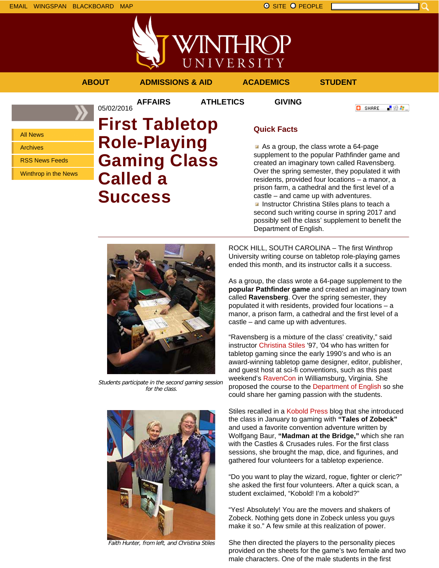

**AFFAIRS ATHLETICS GIVING**

05/02/2016

**ABOUT ADMISSIONS & AID ACADEMICS STUDENT**

**O** SHARE

■ 80 ●

All News Archives RSS News Feeds

Winthrop in the News

# **First Tabletop Role-Playing Gaming Class Called a Success**

### **Quick Facts**

As a group, the class wrote a 64-page supplement to the popular Pathfinder game and created an imaginary town called Ravensberg. Over the spring semester, they populated it with residents, provided four locations – a manor, a prison farm, a cathedral and the first level of a castle – and came up with adventures. **Instructor Christina Stiles plans to teach a** second such writing course in spring 2017 and possibly sell the class' supplement to benefit the Department of English.



Students participate in the second gaming session for the class.



Faith Hunter, from left, and Christina Stiles

ROCK HILL, SOUTH CAROLINA – The first Winthrop University writing course on tabletop role-playing games ended this month, and its instructor calls it a success.

As a group, the class wrote a 64-page supplement to the **popular Pathfinder game** and created an imaginary town called **Ravensberg**. Over the spring semester, they populated it with residents, provided four locations – a manor, a prison farm, a cathedral and the first level of a castle – and came up with adventures.

"Ravensberg is a mixture of the class' creativity," said instructor Christina Stiles '97, '04 who has written for tabletop gaming since the early 1990's and who is an award-winning tabletop game designer, editor, publisher, and guest host at sci-fi conventions, such as this past weekend's RavenCon in Williamsburg, Virginia. She proposed the course to the Department of English so she could share her gaming passion with the students.

Stiles recalled in a Kobold Press blog that she introduced the class in January to gaming with **"Tales of Zobeck"** and used a favorite convention adventure written by Wolfgang Baur, **"Madman at the Bridge,"** which she ran with the Castles & Crusades rules. For the first class sessions, she brought the map, dice, and figurines, and gathered four volunteers for a tabletop experience.

"Do you want to play the wizard, rogue, fighter or cleric?" she asked the first four volunteers. After a quick scan, a student exclaimed, "Kobold! I'm a kobold?"

"Yes! Absolutely! You are the movers and shakers of Zobeck. Nothing gets done in Zobeck unless you guys make it so." A few smile at this realization of power.

She then directed the players to the personality pieces provided on the sheets for the game's two female and two male characters. One of the male students in the first